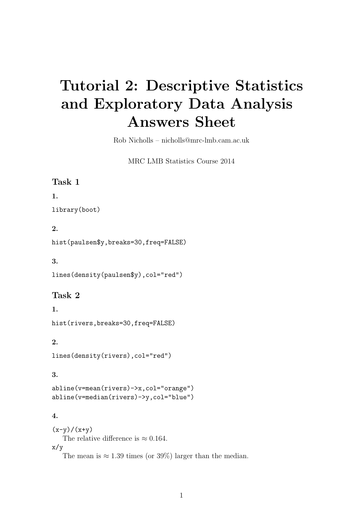# Tutorial 2: Descriptive Statistics and Exploratory Data Analysis Answers Sheet

Rob Nicholls – nicholls@mrc-lmb.cam.ac.uk

MRC LMB Statistics Course 2014

#### Task 1

1.

library(boot)

#### 2.

hist(paulsen\$y,breaks=30,freq=FALSE)

3.

lines(density(paulsen\$y),col="red")

#### Task 2

1.

hist(rivers,breaks=30,freq=FALSE)

#### 2.

lines(density(rivers),col="red")

#### 3.

abline(v=mean(rivers)->x,col="orange") abline(v=median(rivers)->y,col="blue")

#### 4.

 $(x-y)/(x+y)$ The relative difference is  $\approx 0.164$ . x/y The mean is  $\approx 1.39$  times (or 39%) larger than the median.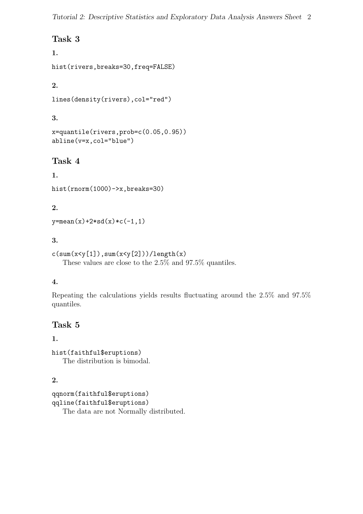# Task 3

## 1.

hist(rivers,breaks=30,freq=FALSE)

# 2.

```
lines(density(rivers),col="red")
```
# 3.

```
x=quantile(rivers,prob=c(0.05,0.95))
abline(v=x,col="blue")
```
# Task 4

```
1.
hist(rnorm(1000)->x,breaks=30)
```
# 2.

 $y = mean(x) + 2 * sd(x) *c(-1,1)$ 

## 3.

```
c(sum(x < y[1]), sum(x < y[2]))/length(x)These values are close to the 2.5% and 97.5% quantiles.
```
# 4.

Repeating the calculations yields results fluctuating around the 2.5% and 97.5% quantiles.

# Task 5

## 1.

hist(faithful\$eruptions) The distribution is bimodal.

# 2.

qqnorm(faithful\$eruptions) qqline(faithful\$eruptions) The data are not Normally distributed.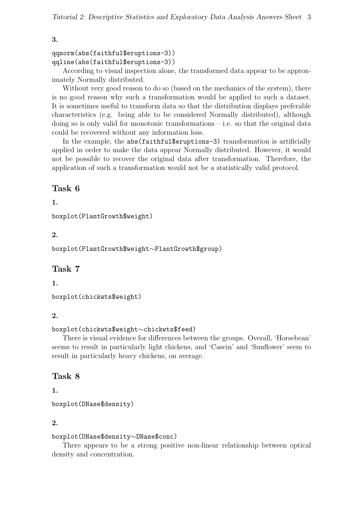#### qqnorm(abs(faithful\$eruptions-3)) qqline(abs(faithful\$eruptions-3))

According to visual inspection alone, the transformed data appear to be approximately Normally distributed.

Without very good reason to do so (based on the mechanics of the system), there is no good reason why such a transformation would be applied to such a dataset. It is sometimes useful to transform data so that the distribution displays preferable characteristics (e.g. being able to be considered Normally distributed), although doing so is only valid for monotonic transformations – i.e. so that the original data could be recovered without any information loss.

In the example, the abs(faithful\$eruptions-3) transformation is artificially applied in order to make the data appear Normally distributed. However, it would not be possible to recover the original data after transformation. Therefore, the application of such a transformation would not be a statistically valid protocol.

# Task 6

#### 1.

boxplot(PlantGrowth\$weight)

## 2.

boxplot(PlantGrowth\$weight∼PlantGrowth\$group)

# Task 7

## 1.

boxplot(chickwts\$weight)

## 2.

#### boxplot(chickwts\$weight∼chickwts\$feed)

There is visual evidence for differences between the groups. Overall, 'Horsebean' seems to result in particularly light chickens, and 'Casein' and 'Sunflower' seem to result in particularly heavy chickens, on average.

## Task 8

## 1.

boxplot(DNase\$density)

#### 2.

#### boxplot(DNase\$density∼DNase\$conc)

There appears to be a strong positive non-linear relationship between optical density and concentration.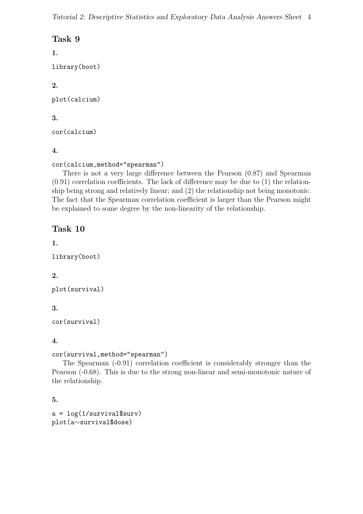## Task 9

1.

library(boot)

## 2.

plot(calcium)

## 3.

cor(calcium)

## 4.

```
cor(calcium,method="spearman")
```
There is not a very large difference between the Pearson (0.87) and Spearman (0.91) correlation coefficients. The lack of difference may be due to (1) the relationship being strong and relatively linear; and (2) the relationship not being monotonic. The fact that the Spearman correlation coefficient is larger than the Pearson might be explained to some degree by the non-linearity of the relationship.

# Task 10

#### 1.

```
library(boot)
```
## 2.

```
plot(survival)
```
# 3.

```
cor(survival)
```
## 4.

```
cor(survival,method="spearman")
```
The Spearman (-0.91) correlation coefficient is considerably stronger than the Pearson (-0.68). This is due to the strong non-linear and semi-monotonic nature of the relationship.

# 5.

```
a = \log(1/survival\surv)
plot(a∼survival$dose)
```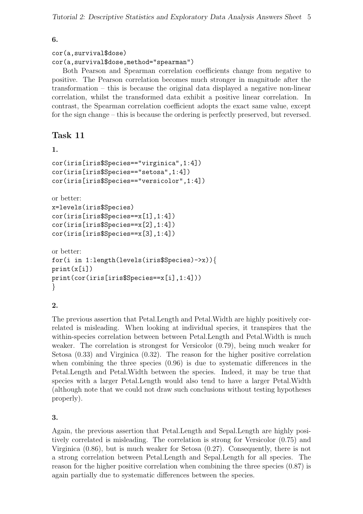#### cor(a,survival\$dose) cor(a,survival\$dose,method="spearman")

Both Pearson and Spearman correlation coefficients change from negative to positive. The Pearson correlation becomes much stronger in magnitude after the transformation – this is because the original data displayed a negative non-linear correlation, whilst the transformed data exhibit a positive linear correlation. In contrast, the Spearman correlation coefficient adopts the exact same value, except for the sign change – this is because the ordering is perfectly preserved, but reversed.

# Task 11

```
1.
```

```
cor(iris[iris$Species=="virginica",1:4])
cor(iris[iris$Species=="setosa",1:4])
cor(iris[iris$Species=="versicolor",1:4])
```
or better:

```
x=levels(iris$Species)
cor(iris[iris$Species==x[1],1:4])
cor(iris[iris$Species==x[2],1:4])
cor(iris[iris$Species==x[3],1:4])
```

```
or better:
for(i in 1:length(levels(iris$Species)->x)){
print(x[i])
print(cor(iris[iris$Species==x[i],1:4]))
}
```
#### 2.

The previous assertion that Petal.Length and Petal.Width are highly positively correlated is misleading. When looking at individual species, it transpires that the within-species correlation between between Petal.Length and Petal.Width is much weaker. The correlation is strongest for Versicolor (0.79), being much weaker for Setosa (0.33) and Virginica (0.32). The reason for the higher positive correlation when combining the three species (0.96) is due to systematic differences in the Petal.Length and Petal.Width between the species. Indeed, it may be true that species with a larger Petal.Length would also tend to have a larger Petal.Width (although note that we could not draw such conclusions without testing hypotheses properly).

## 3.

Again, the previous assertion that Petal.Length and Sepal.Length are highly positively correlated is misleading. The correlation is strong for Versicolor (0.75) and Virginica (0.86), but is much weaker for Setosa (0.27). Consequently, there is not a strong correlation between Petal.Length and Sepal.Length for all species. The reason for the higher positive correlation when combining the three species (0.87) is again partially due to systematic differences between the species.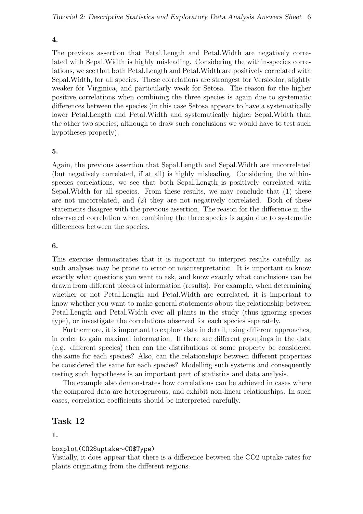The previous assertion that Petal.Length and Petal.Width are negatively correlated with Sepal.Width is highly misleading. Considering the within-species correlations, we see that both Petal.Length and Petal.Width are positively correlated with Sepal.Width, for all species. These correlations are strongest for Versicolor, slightly weaker for Virginica, and particularly weak for Setosa. The reason for the higher positive correlations when combining the three species is again due to systematic differences between the species (in this case Setosa appears to have a systematically lower Petal.Length and Petal.Width and systematically higher Sepal.Width than the other two species, although to draw such conclusions we would have to test such hypotheses properly).

#### 5.

Again, the previous assertion that Sepal.Length and Sepal.Width are uncorrelated (but negatively correlated, if at all) is highly misleading. Considering the withinspecies correlations, we see that both Sepal.Length is positively correlated with Sepal.Width for all species. From these results, we may conclude that (1) these are not uncorrelated, and (2) they are not negatively correlated. Both of these statements disagree with the previous assertion. The reason for the difference in the observered correlation when combining the three species is again due to systematic differences between the species.

#### 6.

This exercise demonstrates that it is important to interpret results carefully, as such analyses may be prone to error or misinterpretation. It is important to know exactly what questions you want to ask, and know exactly what conclusions can be drawn from different pieces of information (results). For example, when determining whether or not Petal.Length and Petal.Width are correlated, it is important to know whether you want to make general statements about the relationship between Petal.Length and Petal.Width over all plants in the study (thus ignoring species type), or investigate the correlations observed for each species separately.

Furthermore, it is important to explore data in detail, using different approaches, in order to gain maximal information. If there are different groupings in the data (e.g. different species) then can the distributions of some property be considered the same for each species? Also, can the relationships between different properties be considered the same for each species? Modelling such systems and consequently testing such hypotheses is an important part of statistics and data analysis.

The example also demonstrates how correlations can be achieved in cases where the compared data are heterogeneous, and exhibit non-linear relationships. In such cases, correlation coefficients should be interpreted carefully.

#### Task 12

#### 1.

#### boxplot(CO2\$uptake∼CO\$Type)

Visually, it does appear that there is a difference between the CO2 uptake rates for plants originating from the different regions.